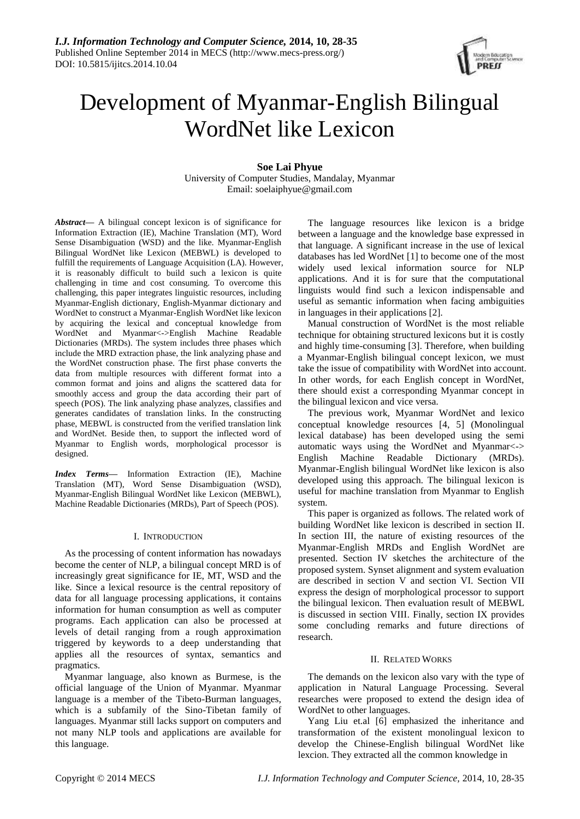

# Development of Myanmar-English Bilingual WordNet like Lexicon

**Soe Lai Phyue**

University of Computer Studies, Mandalay, Myanmar Email: soelaiphyue@gmail.com

*Abstract***—** A bilingual concept lexicon is of significance for Information Extraction (IE), Machine Translation (MT), Word Sense Disambiguation (WSD) and the like. Myanmar-English Bilingual WordNet like Lexicon (MEBWL) is developed to fulfill the requirements of Language Acquisition (LA). However, it is reasonably difficult to build such a lexicon is quite challenging in time and cost consuming. To overcome this challenging, this paper integrates linguistic resources, including Myanmar-English dictionary, English-Myanmar dictionary and WordNet to construct a Myanmar-English WordNet like lexicon by acquiring the lexical and conceptual knowledge from WordNet and Myanmar<->English Machine Readable Dictionaries (MRDs). The system includes three phases which include the MRD extraction phase, the link analyzing phase and the WordNet construction phase. The first phase converts the data from multiple resources with different format into a common format and joins and aligns the scattered data for smoothly access and group the data according their part of speech (POS). The link analyzing phase analyzes, classifies and generates candidates of translation links. In the constructing phase, MEBWL is constructed from the verified translation link and WordNet. Beside then, to support the inflected word of Myanmar to English words, morphological processor is designed.

*Index Terms***—** Information Extraction (IE), Machine Translation (MT), Word Sense Disambiguation (WSD), Myanmar-English Bilingual WordNet like Lexicon (MEBWL), Machine Readable Dictionaries (MRDs), Part of Speech (POS).

# I. INTRODUCTION

As the processing of content information has nowadays become the center of NLP, a bilingual concept MRD is of increasingly great significance for IE, MT, WSD and the like. Since a lexical resource is the central repository of data for all language processing applications, it contains information for human consumption as well as computer programs. Each application can also be processed at levels of detail ranging from a rough approximation triggered by keywords to a deep understanding that applies all the resources of syntax, semantics and pragmatics.

Myanmar language, also known as Burmese, is the official language of the Union of Myanmar. Myanmar language is a member of the Tibeto-Burman languages, which is a subfamily of the Sino-Tibetan family of languages. Myanmar still lacks support on computers and not many NLP tools and applications are available for this language.

The language resources like lexicon is a bridge between a language and the knowledge base expressed in that language. A significant increase in the use of lexical databases has led WordNet [1] to become one of the most widely used lexical information source for NLP applications. And it is for sure that the computational linguists would find such a lexicon indispensable and useful as semantic information when facing ambiguities in languages in their applications [2].

Manual construction of WordNet is the most reliable technique for obtaining structured lexicons but it is costly and highly time-consuming [3]. Therefore, when building a Myanmar-English bilingual concept lexicon, we must take the issue of compatibility with WordNet into account. In other words, for each English concept in WordNet, there should exist a corresponding Myanmar concept in the bilingual lexicon and vice versa.

The previous work, Myanmar WordNet and lexico conceptual knowledge resources [4, 5] (Monolingual lexical database) has been developed using the semi automatic ways using the WordNet and Myanmar<-> English Machine Readable Dictionary (MRDs). Myanmar-English bilingual WordNet like lexicon is also developed using this approach. The bilingual lexicon is useful for machine translation from Myanmar to English system.

This paper is organized as follows. The related work of building WordNet like lexicon is described in section II. In section III, the nature of existing resources of the Myanmar-English MRDs and English WordNet are presented. Section IV sketches the architecture of the proposed system. Synset alignment and system evaluation are described in section V and section VI. Section VII express the design of morphological processor to support the bilingual lexicon. Then evaluation result of MEBWL is discussed in section VIII. Finally, section IX provides some concluding remarks and future directions of research.

# II. RELATED WORKS

The demands on the lexicon also vary with the type of application in Natural Language Processing. Several researches were proposed to extend the design idea of WordNet to other languages.

Yang Liu et.al [6] emphasized the inheritance and transformation of the existent monolingual lexicon to develop the Chinese-English bilingual WordNet like lexcion. They extracted all the common knowledge in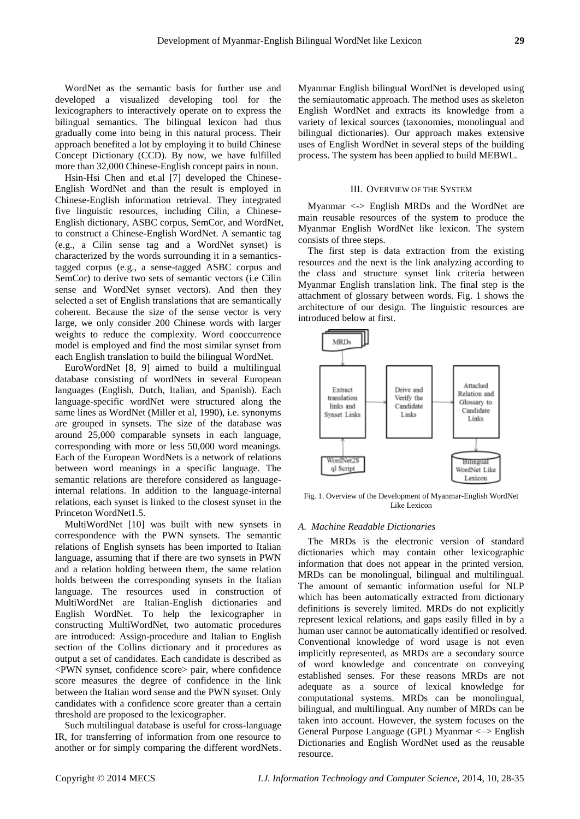WordNet as the semantic basis for further use and developed a visualized developing tool for the lexicographers to interactively operate on to express the bilingual semantics. The bilingual lexicon had thus gradually come into being in this natural process. Their approach benefited a lot by employing it to build Chinese Concept Dictionary (CCD). By now, we have fulfilled more than 32,000 Chinese-English concept pairs in noun.

Hsin-Hsi Chen and et.al [7] developed the Chinese-English WordNet and than the result is employed in Chinese-English information retrieval. They integrated five linguistic resources, including Cilin, a Chinese-English dictionary, ASBC corpus, SemCor, and WordNet, to construct a Chinese-English WordNet. A semantic tag (e.g., a Cilin sense tag and a WordNet synset) is characterized by the words surrounding it in a semanticstagged corpus (e.g., a sense-tagged ASBC corpus and SemCor) to derive two sets of semantic vectors (i.e Cilin sense and WordNet synset vectors). And then they selected a set of English translations that are semantically coherent. Because the size of the sense vector is very large, we only consider 200 Chinese words with larger weights to reduce the complexity. Word cooccurrence model is employed and find the most similar synset from each English translation to build the bilingual WordNet.

EuroWordNet [8, 9] aimed to build a multilingual database consisting of wordNets in several European languages (English, Dutch, Italian, and Spanish). Each language-specific wordNet were structured along the same lines as WordNet (Miller et al, 1990), i.e. synonyms are grouped in synsets. The size of the database was around 25,000 comparable synsets in each language, corresponding with more or less 50,000 word meanings. Each of the European WordNets is a network of relations between word meanings in a specific language. The semantic relations are therefore considered as languageinternal relations. In addition to the language-internal relations, each synset is linked to the closest synset in the Princeton WordNet1.5.

MultiWordNet [10] was built with new synsets in correspondence with the PWN synsets. The semantic relations of English synsets has been imported to Italian language, assuming that if there are two synsets in PWN and a relation holding between them, the same relation holds between the corresponding synsets in the Italian language. The resources used in construction of MultiWordNet are Italian-English dictionaries and English WordNet. To help the lexicographer in constructing MultiWordNet, two automatic procedures are introduced: Assign-procedure and Italian to English section of the Collins dictionary and it procedures as output a set of candidates. Each candidate is described as <PWN synset, confidence score> pair, where confidence score measures the degree of confidence in the link between the Italian word sense and the PWN synset. Only candidates with a confidence score greater than a certain threshold are proposed to the lexicographer.

Such multilingual database is useful for cross-language IR, for transferring of information from one resource to another or for simply comparing the different wordNets. Myanmar English bilingual WordNet is developed using the semiautomatic approach. The method uses as skeleton English WordNet and extracts its knowledge from a variety of lexical sources (taxonomies, monolingual and bilingual dictionaries). Our approach makes extensive uses of English WordNet in several steps of the building process. The system has been applied to build MEBWL.

#### III. OVERVIEW OF THE SYSTEM

Myanmar <-> English MRDs and the WordNet are main reusable resources of the system to produce the Myanmar English WordNet like lexicon. The system consists of three steps.

The first step is data extraction from the existing resources and the next is the link analyzing according to the class and structure synset link criteria between Myanmar English translation link. The final step is the attachment of glossary between words. Fig. 1 shows the architecture of our design. The linguistic resources are introduced below at first.



Fig. 1. Overview of the Development of Myanmar-English WordNet Like Lexicon

#### *A. Machine Readable Dictionaries*

The MRDs is the electronic version of standard dictionaries which may contain other lexicographic information that does not appear in the printed version. MRDs can be monolingual, bilingual and multilingual. The amount of semantic information useful for NLP which has been automatically extracted from dictionary definitions is severely limited. MRDs do not explicitly represent lexical relations, and gaps easily filled in by a human user cannot be automatically identified or resolved. Conventional knowledge of word usage is not even implicitly represented, as MRDs are a secondary source of word knowledge and concentrate on conveying established senses. For these reasons MRDs are not adequate as a source of lexical knowledge for computational systems. MRDs can be monolingual, bilingual, and multilingual. Any number of MRDs can be taken into account. However, the system focuses on the General Purpose Language (GPL) Myanmar <–> English Dictionaries and English WordNet used as the reusable resource.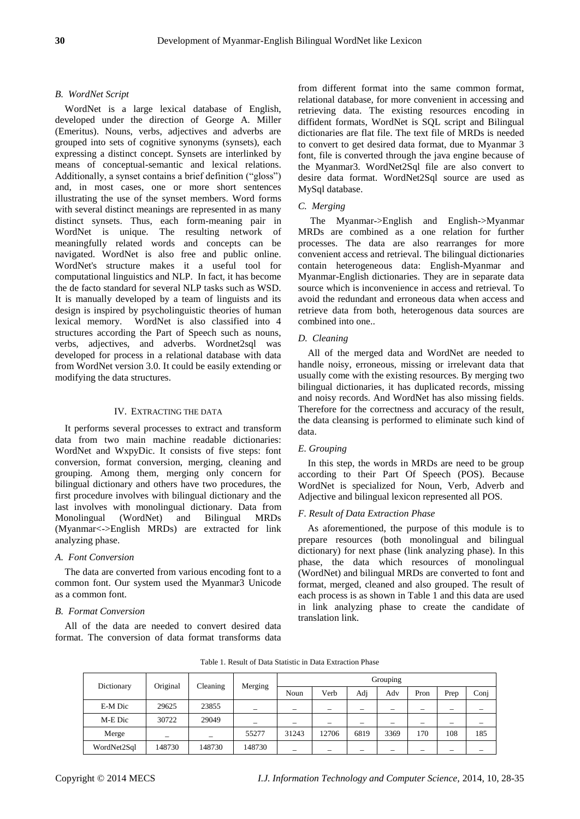# *B. WordNet Script*

WordNet is a large lexical database of English, developed under the direction of George A. Miller (Emeritus). Nouns, verbs, adjectives and adverbs are grouped into sets of cognitive synonyms (synsets), each expressing a distinct concept. Synsets are interlinked by means of conceptual-semantic and lexical relations. Additionally, a synset contains a brief definition ("gloss") and, in most cases, one or more short sentences illustrating the use of the synset members. Word forms with several distinct meanings are represented in as many distinct synsets. Thus, each form-meaning pair in WordNet is unique. The resulting network of meaningfully related words and concepts can be navigated. WordNet is also free and public online. WordNet's structure makes it a useful tool for computational linguistics and NLP. In fact, it has become the de facto standard for several NLP tasks such as WSD. It is manually developed by a team of linguists and its design is inspired by psycholinguistic theories of human lexical memory. WordNet is also classified into 4 structures according the Part of Speech such as nouns, verbs, adjectives, and adverbs. Wordnet2sql was developed for process in a relational database with data from WordNet version 3.0. It could be easily extending or modifying the data structures.

# IV. EXTRACTING THE DATA

It performs several processes to extract and transform data from two main machine readable dictionaries: WordNet and WxpyDic. It consists of five steps: font conversion, format conversion, merging, cleaning and grouping. Among them, merging only concern for bilingual dictionary and others have two procedures, the first procedure involves with bilingual dictionary and the last involves with monolingual dictionary. Data from Monolingual (WordNet) and Bilingual MRDs (Myanmar<->English MRDs) are extracted for link analyzing phase.

#### *A. Font Conversion*

The data are converted from various encoding font to a common font. Our system used the Myanmar3 Unicode as a common font*.*

#### *B. Format Conversion*

All of the data are needed to convert desired data format. The conversion of data format transforms data from different format into the same common format, relational database, for more convenient in accessing and retrieving data. The existing resources encoding in diffident formats, WordNet is SQL script and Bilingual dictionaries are flat file. The text file of MRDs is needed to convert to get desired data format, due to Myanmar 3 font, file is converted through the java engine because of the Myanmar3. WordNet2Sql file are also convert to desire data format. WordNet2Sql source are used as MySql database.

## *C. Merging*

The Myanmar->English and English->Myanmar MRDs are combined as a one relation for further processes. The data are also rearranges for more convenient access and retrieval. The bilingual dictionaries contain heterogeneous data: English-Myanmar and Myanmar-English dictionaries. They are in separate data source which is inconvenience in access and retrieval. To avoid the redundant and erroneous data when access and retrieve data from both, heterogenous data sources are combined into one..

# *D. Cleaning*

All of the merged data and WordNet are needed to handle noisy, erroneous, missing or irrelevant data that usually come with the existing resources. By merging two bilingual dictionaries, it has duplicated records, missing and noisy records. And WordNet has also missing fields. Therefore for the correctness and accuracy of the result, the data cleansing is performed to eliminate such kind of data.

#### *E. Grouping*

In this step, the words in MRDs are need to be group according to their Part Of Speech (POS). Because WordNet is specialized for Noun, Verb, Adverb and Adjective and bilingual lexicon represented all POS.

# *F. Result of Data Extraction Phase*

As aforementioned, the purpose of this module is to prepare resources (both monolingual and bilingual dictionary) for next phase (link analyzing phase). In this phase, the data which resources of monolingual (WordNet) and bilingual MRDs are converted to font and format, merged, cleaned and also grouped. The result of each process is as shown in Table 1 and this data are used in link analyzing phase to create the candidate of translation link.

|                        |        |          |         | Grouping |                          |      |                          |      |      |                          |  |
|------------------------|--------|----------|---------|----------|--------------------------|------|--------------------------|------|------|--------------------------|--|
| Original<br>Dictionary |        | Cleaning | Merging | Noun     | Verb                     | Adj  | Adv                      | Pron | Prep | Conj                     |  |
| E-M Dic                | 29625  | 23855    |         |          | $\overline{\phantom{0}}$ | -    | $\overline{\phantom{a}}$ |      |      | $\overline{\phantom{0}}$ |  |
| M-E Dic                | 30722  | 29049    |         |          |                          |      | $\overline{\phantom{a}}$ | -    |      | $\overline{\phantom{0}}$ |  |
| Merge                  | -      |          | 55277   | 31243    | 12706                    | 6819 | 3369                     | 170  | 108  | 185                      |  |
| WordNet2Sql            | 148730 | 148730   | 148730  |          |                          |      |                          |      |      |                          |  |

Table 1. Result of Data Statistic in Data Extraction Phase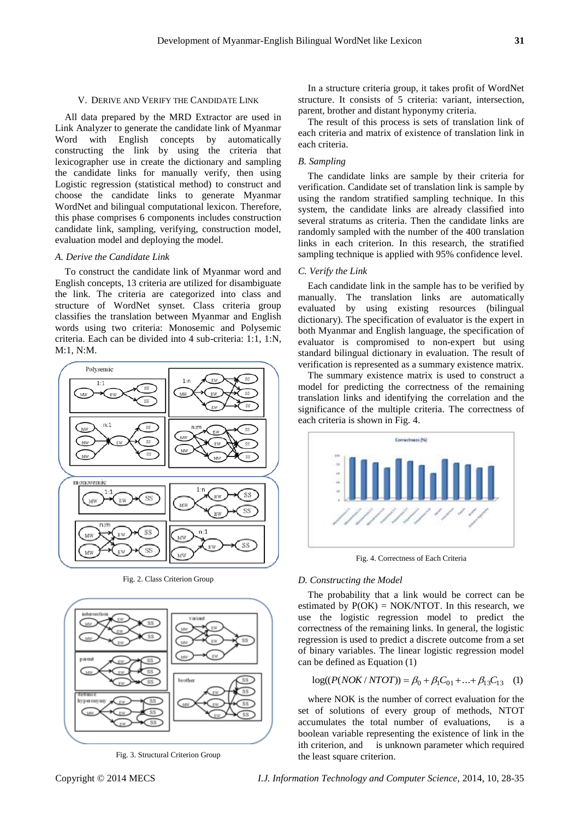All data prepared by the MRD Extractor are used in Link Analyzer to generate the candidate link of Myanmar Word with English concepts by automatically constructing the link by using the criteria that lexicographer use in create the dictionary and sampling the candidate links for manually verify, then using Logistic regression (statistical method) to construct and choose the candidate links to generate Myanmar WordNet and bilingual computational lexicon. Therefore, this phase comprises 6 components includes construction candidate link, sampling, verifying, construction model, evaluation model and deploying the model.

#### *A. Derive the Candidate Link*

To construct the candidate link of Myanmar word and English concepts, 13 criteria are utilized for disambiguate the link. The criteria are categorized into class and structure of WordNet synset. Class criteria group classifies the translation between Myanmar and English words using two criteria: Monosemic and Polysemic criteria. Each can be divided into 4 sub-criteria: 1:1, 1:N, M:1, N:M.



Fig. 2. Class Criterion Group



Fig. 3. Structural Criterion Group

In a structure criteria group, it takes profit of WordNet structure. It consists of 5 criteria: variant, intersection, parent, brother and distant hyponymy criteria.

The result of this process is sets of translation link of each criteria and matrix of existence of translation link in each criteria.

## *B. Sampling*

The candidate links are sample by their criteria for verification. Candidate set of translation link is sample by using the random stratified sampling technique. In this system, the candidate links are already classified into several stratums as criteria. Then the candidate links are randomly sampled with the number of the 400 translation links in each criterion. In this research, the stratified sampling technique is applied with 95% confidence level.

# *C. Verify the Link*

Each candidate link in the sample has to be verified by manually. The translation links are automatically evaluated by using existing resources (bilingual dictionary). The specification of evaluator is the expert in both Myanmar and English language, the specification of evaluator is compromised to non-expert but using standard bilingual dictionary in evaluation. The result of verification is represented as a summary existence matrix.

The summary existence matrix is used to construct a model for predicting the correctness of the remaining translation links and identifying the correlation and the significance of the multiple criteria. The correctness of each criteria is shown in Fig. 4.



Fig. 4. Correctness of Each Criteria

#### *D. Constructing the Model*

The probability that a link would be correct can be estimated by  $P(OK) = NOK/NTOT$ . In this research, we use the logistic regression model to predict the correctness of the remaining links. In general, the logistic regression is used to predict a discrete outcome from a set of binary variables. The linear logistic regression model can be defined as Equation (1)

$$
log((P(NOK/NTOT)) = \beta_0 + \beta_1 C_{01} + ... + \beta_{13} C_{13} \quad (1)
$$

where NOK is the number of correct evaluation for the set of solutions of every group of methods, NTOT accumulates the total number of evaluations, is a boolean variable representing the existence of link in the ith criterion, and is unknown parameter which required the least square criterion.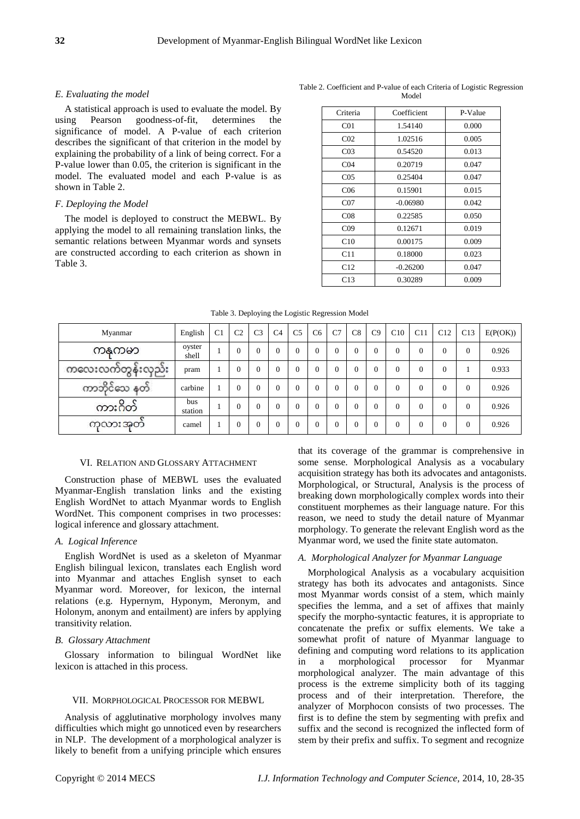# *E. Evaluating the model*

A statistical approach is used to evaluate the model. By using Pearson goodness-of-fit, determines the significance of model. A P-value of each criterion describes the significant of that criterion in the model by explaining the probability of a link of being correct. For a P-value lower than 0.05, the criterion is significant in the model. The evaluated model and each P-value is as shown in Table 2.

#### *F. Deploying the Model*

The model is deployed to construct the MEBWL. By applying the model to all remaining translation links, the semantic relations between Myanmar words and synsets are constructed according to each criterion as shown in Table 3.

| Criteria        | Coefficient | P-Value |
|-----------------|-------------|---------|
| CO <sub>1</sub> | 1.54140     | 0.000   |
| CO <sub>2</sub> | 1.02516     | 0.005   |
| CO <sub>3</sub> | 0.54520     | 0.013   |
| CO <sub>4</sub> | 0.20719     | 0.047   |
| CO <sub>5</sub> | 0.25404     | 0.047   |
| C <sub>06</sub> | 0.15901     | 0.015   |
| CO7             | $-0.06980$  | 0.042   |
| CO8             | 0.22585     | 0.050   |
| CO9             | 0.12671     | 0.019   |
| C <sub>10</sub> | 0.00175     | 0.009   |
| C11             | 0.18000     | 0.023   |
| C12             | $-0.26200$  | 0.047   |
| C <sub>13</sub> | 0.30289     | 0.009   |

Table 2. Coefficient and P-value of each Criteria of Logistic Regression Model

| Table 3. Deploying the Logistic Regression Model |  |
|--------------------------------------------------|--|
|                                                  |  |

| Myanmar                 | English         | C <sub>1</sub> | C <sub>2</sub> | C <sub>3</sub> | C <sub>4</sub> | C <sub>5</sub> | C <sub>6</sub> | C7 | C8             | C9 | C10      | C11      | C12            | C13      | E(P(OK)) |
|-------------------------|-----------------|----------------|----------------|----------------|----------------|----------------|----------------|----|----------------|----|----------|----------|----------------|----------|----------|
| ကန္မကမာ                 | oyster<br>shell |                | $\Omega$       | $\theta$       | $\Omega$       | $\overline{0}$ |                | 0  | $\overline{0}$ |    | $\Omega$ | $\theta$ | $\overline{0}$ | $\theta$ | 0.926    |
| ကလေးလက်တွန်းလှည်း       | pram            |                | $\Omega$       | $\theta$       | $\Omega$       | $\Omega$       | $\Omega$       | 0  | $\overline{0}$ |    | $\Omega$ | $\theta$ | $\overline{0}$ |          | 0.933    |
| ကာဘိုင်သေ နတ်           | carbine         |                | $\Omega$       | $\theta$       | $\theta$       | $\Omega$       | $\Omega$       | 0  | $\mathbf{0}$   |    | $\Omega$ | $\Omega$ | $\overline{0}$ | $\Omega$ | 0.926    |
| c<br>$\circ$<br>ကားဂီတဲ | bus<br>station  |                | $\Omega$       | $\theta$       | $\Omega$       | $\Omega$       |                | O  | $\overline{0}$ |    | $\Omega$ | $\Omega$ | $\Omega$       | $\theta$ | 0.926    |
| ကလားအတဲ                 | camel           |                | $\theta$       |                | $\Omega$       | $\mathbf{0}$   |                |    | $\overline{0}$ |    | $\Omega$ | $\Omega$ | $\theta$       | $\theta$ | 0.926    |

#### VI. RELATION AND GLOSSARY ATTACHMENT

Construction phase of MEBWL uses the evaluated Myanmar-English translation links and the existing English WordNet to attach Myanmar words to English WordNet. This component comprises in two processes: logical inference and glossary attachment.

# *A. Logical Inference*

English WordNet is used as a skeleton of Myanmar English bilingual lexicon, translates each English word into Myanmar and attaches English synset to each Myanmar word. Moreover, for lexicon, the internal relations (e.g. Hypernym, Hyponym, Meronym, and Holonym, anonym and entailment) are infers by applying transitivity relation.

#### *B. Glossary Attachment*

Glossary information to bilingual WordNet like lexicon is attached in this process.

#### VII. MORPHOLOGICAL PROCESSOR FOR MEBWL

Analysis of agglutinative morphology involves many difficulties which might go unnoticed even by researchers in NLP. The development of a morphological analyzer is likely to benefit from a unifying principle which ensures

that its coverage of the grammar is comprehensive in some sense. Morphological Analysis as a vocabulary acquisition strategy has both its advocates and antagonists. Morphological, or Structural, Analysis is the process of breaking down morphologically complex words into their constituent morphemes as their language nature. For this reason, we need to study the detail nature of Myanmar morphology. To generate the relevant English word as the Myanmar word, we used the finite state automaton.

# *A. Morphological Analyzer for Myanmar Language*

Morphological Analysis as a vocabulary acquisition strategy has both its advocates and antagonists. Since most Myanmar words consist of a stem, which mainly specifies the lemma, and a set of affixes that mainly specify the morpho-syntactic features, it is appropriate to concatenate the prefix or suffix elements. We take a somewhat profit of nature of Myanmar language to defining and computing word relations to its application in a morphological processor for Myanmar morphological analyzer. The main advantage of this process is the extreme simplicity both of its tagging process and of their interpretation. Therefore, the analyzer of Morphocon consists of two processes. The first is to define the stem by segmenting with prefix and suffix and the second is recognized the inflected form of stem by their prefix and suffix. To segment and recognize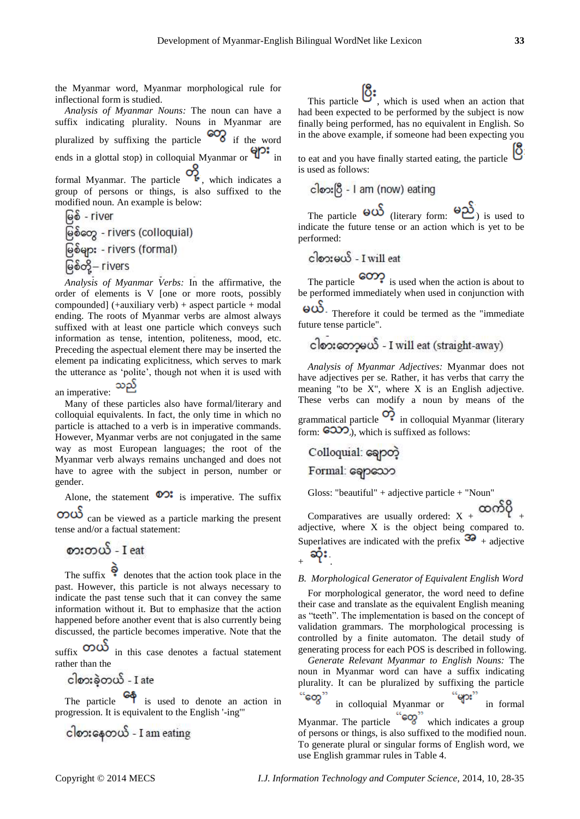the Myanmar word, Myanmar morphological rule for inflectional form is studied.

*Analysis of Myanmar Nouns:* The noun can have a suffix indicating plurality. Nouns in Myanmar are pluralized by suffixing the particle  $\infty$  if the word ends in a glottal stop) in colloquial Myanmar or  $\mathbf{Q}^{\bullet}$  in formal Myanmar. The particle  $\overrightarrow{O_{k}}$ , which indicates a group of persons or things, is also suffixed to the modified noun. An example is below: မြစ် - river

မြစ်တွေ - rivers (colloquial) မြစ်များ - rivers (formal) မြစ်တို့– rivers

*Analysis of Myanmar Verbs:* In the affirmative, the order of elements is V [one or more roots, possibly compounded]  $(+auxiliary verb) + aspect particle + modal$ ending. The roots of Myanmar verbs are almost always suffixed with at least one particle which conveys such information as tense, intention, politeness, mood, etc. Preceding the aspectual element there may be inserted the element pa indicating explicitness, which serves to mark the utterance as 'polite', though not when it is used with

သည် an imperative:

Many of these particles also have formal/literary and colloquial equivalents. In fact, the only time in which no particle is attached to a verb is in imperative commands. However, Myanmar verbs are not conjugated in the same way as most European languages; the root of the Myanmar verb always remains unchanged and does not have to agree with the subject in person, number or gender.

Alone, the statement  $\circledcirc$ : is imperative. The suffix

 $\overrightarrow{OD}\overrightarrow{O}$  can be viewed as a particle marking the present tense and/or a factual statement:

# စားတယ် - I eat

The suffix  $\bullet$  denotes that the action took place in the past. However, this particle is not always necessary to indicate the past tense such that it can convey the same information without it. But to emphasize that the action happened before another event that is also currently being discussed, the particle becomes imperative. Note that the

suffix  $\infty$  in this case denotes a factual statement rather than the

ငါစားခဲ့တယ် - I ate

The particle  $\mathcal{I}$  is used to denote an action in progression. It is equivalent to the English '-ing'"

 $\frac{\partial \mathbf{z}}{\partial s}$  =  $\frac{\partial \mathbf{z}}{\partial t}$  =  $\frac{\partial \mathbf{z}}{\partial t}$  =  $\frac{\partial \mathbf{z}}{\partial t}$ 

This particle  $\mathbb{Q}^*$ , which is used when an action that had been expected to be performed by the subject is now finally being performed, has no equivalent in English. So in the above example, if someone had been expecting you

to eat and you have finally started eating, the particle  $\overline{O}$ is used as follows:

The particle  $\Theta$   $\omega$  (literary form:  $\Theta$  $\omega$ ) is used to indicate the future tense or an action which is yet to be performed:

 $\cos\omega$  - I will eat

The particle  $\bigcirc$  is used when the action is about to be performed immediately when used in conjunction with

 $\omega$ . Therefore it could be termed as the "immediate" future tense particle".

*Analysis of Myanmar Adjectives:* Myanmar does not have adjectives per se. Rather, it has verbs that carry the meaning "to be X", where X is an English adjective. These verbs can modify a noun by means of the grammatical particle  $\overrightarrow{O}$  in colloquial Myanmar (literary form:  $\left( 6000 \right)$ , which is suffixed as follows:

Gloss: "beautiful" + adjective particle + "Noun"

Comparatives are usually ordered:  $X + \infty$ adjective, where X is the object being compared to. Superlatives are indicated with the prefix  $\overline{3}$  + adjective

$$
_{+}\propto
$$

# *B. Morphological Generator of Equivalent English Word*

For morphological generator, the word need to define their case and translate as the equivalent English meaning as "teeth". The implementation is based on the concept of validation grammars. The morphological processing is controlled by a finite automaton. The detail study of generating process for each POS is described in following.

*Generate Relevant Myanmar to English Nouns:* The noun in Myanmar word can have a suffix indicating plurality. It can be pluralized by suffixing the particle "တွေ" in colloquial Myanmar or  $\overline{y}$  in formal Myanmar. The particle  $\mathbb{Q}$  which indicates a group

of persons or things, is also suffixed to the modified noun. To generate plural or singular forms of English word, we use English grammar rules in Table 4.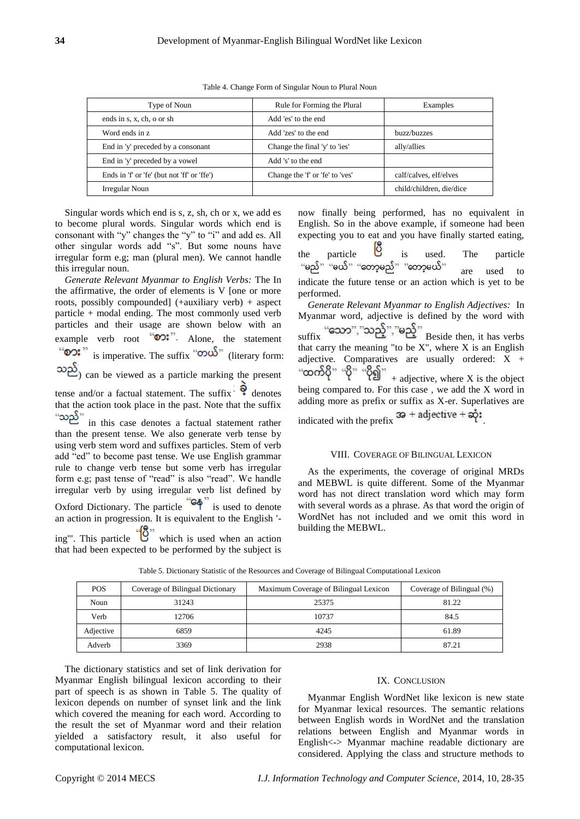| Convright © 2014 MECS |  |
|-----------------------|--|

| The dictionary statistics and set of link derivation for |  |  |  |  |  |  |
|----------------------------------------------------------|--|--|--|--|--|--|
| Myanmar English bilingual lexicon according to their     |  |  |  |  |  |  |
| part of speech is as shown in Table 5. The quality of    |  |  |  |  |  |  |
| lexicon depends on number of synset link and the link    |  |  |  |  |  |  |
| which covered the meaning for each word. According to    |  |  |  |  |  |  |
| the result the set of Myanmar word and their relation    |  |  |  |  |  |  |
| vielded a satisfactory result, it also useful for        |  |  |  |  |  |  |
| computational lexicon.                                   |  |  |  |  |  |  |

| Type of Noun                                | Rule for Forming the Plural     | Examples                 |  |  |
|---------------------------------------------|---------------------------------|--------------------------|--|--|
| ends in s, x, ch, o or sh                   | Add 'es' to the end             |                          |  |  |
| Word ends in z.                             | Add 'zes' to the end            | buzz/buzzes              |  |  |
| End in 'y' preceded by a consonant          | Change the final 'y' to 'ies'   | ally/allies              |  |  |
| End in 'y' preceded by a vowel              | Add 's' to the end              |                          |  |  |
| Ends in 'f' or 'fe' (but not 'ff' or 'ffe') | Change the 'f' or 'fe' to 'ves' | calf/calves, elf/elves   |  |  |
| Irregular Noun                              |                                 | child/children, die/dice |  |  |

Singular words which end is s, z, sh, ch or x, we add es to become plural words. Singular words which end is consonant with "y" changes the "y" to "i" and add es. All other singular words add "s". But some nouns have irregular form e.g; man (plural men). We cannot handle this irregular noun.

*Generate Relevant Myanmar to English Verbs:* The In the affirmative, the order of elements is V [one or more roots, possibly compounded] (+auxiliary verb) + aspect particle + modal ending. The most commonly used verb particles and their usage are shown below with an example verb root  $\omega$ : Alone, the statement "**စား**" is imperative. The suffix "**တယ်**" (literary form: ) can be viewed as a particle marking the present

tense and/or a factual statement. The suffix  $\bullet$  denotes that the action took place in the past. Note that the suffix "သည်"

in this case denotes a factual statement rather than the present tense. We also generate verb tense by using verb stem word and suffixes particles. Stem of verb add "ed" to become past tense. We use English grammar rule to change verb tense but some verb has irregular form e.g; past tense of "read" is also "read". We handle irregular verb by using irregular verb list defined by Oxford Dictionary. The particle  $\overline{6}$  is used to denote an action in progression. It is equivalent to the English '-

ing'". This particle  $\overline{w}$  which is used when an action that had been expected to be performed by the subject is

now finally being performed, has no equivalent in English. So in the above example, if someone had been expecting you to eat and you have finally started eating,

the particle is used. The particle are used to indicate the future tense or an action which is yet to be performed.

*Generate Relevant Myanmar to English Adjectives:* In Myanmar word, adjective is defined by the word with  $\text{suffix}$  "သော","သည့်","မည့်" Beside then, it has verbs that carry the meaning "to be  $X$ ", where  $X$  is an English adjective. Comparatives are usually ordered:  $X +$ <br>" $\infty$   $\infty$   $\infty$   $\infty$   $\infty$   $\infty$   $\infty$   $\infty$   $\infty$   $\infty$   $\infty$   $\infty$   $\infty$   $\infty$   $\infty$   $\infty$   $\infty$   $\infty$   $\infty$   $\infty$   $\infty$   $\infty$   $\infty$   $\infty$   $\infty$   $\infty$   $\infty$   $\infty$   $\$  $+$  adjective, where X is the object being compared to. For this case , we add the X word in

adding more as prefix or suffix as X-er. Superlatives are indicated with the prefix  $3\theta$  + adjective +  $\phi$ :

#### VIII. COVERAGE OF BILINGUAL LEXICON

As the experiments, the coverage of original MRDs and MEBWL is quite different. Some of the Myanmar word has not direct translation word which may form with several words as a phrase. As that word the origin of WordNet has not included and we omit this word in building the MEBWL.

| <b>POS</b> | Coverage of Bilingual Dictionary | Maximum Coverage of Bilingual Lexicon | Coverage of Bilingual (%) |
|------------|----------------------------------|---------------------------------------|---------------------------|
| Noun       | 31243                            | 25375                                 | 81.22                     |
| Verb       | 12706                            | 10737                                 | 84.5                      |
| Adjective  | 6859                             | 4245                                  | 61.89                     |
| Adverb     | 3369                             | 2938                                  | 87.21                     |

# Table 5. Dictionary Statistic of the Resources and Coverage of Bilingual Computational Lexicon

IX. CONCLUSION

Myanmar English WordNet like lexicon is new state for Myanmar lexical resources. The semantic relations between English words in WordNet and the translation relations between English and Myanmar words in English<-> Myanmar machine readable dictionary are considered. Applying the class and structure methods to